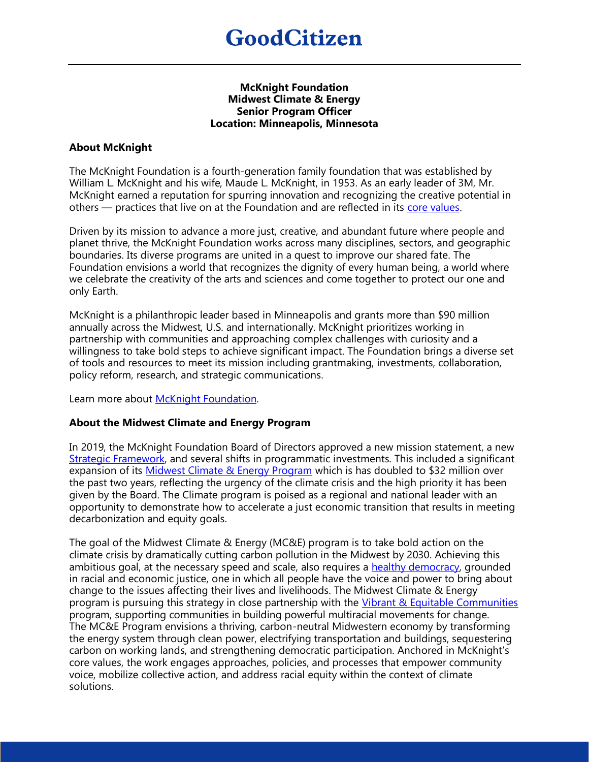#### **McKnight Foundation Midwest Climate & Energy Senior Program Officer Location: Minneapolis, Minnesota**

## **About McKnight**

The McKnight Foundation is a fourth-generation family foundation that was established by William L. McKnight and his wife, Maude L. McKnight, in 1953. As an early leader of 3M, Mr. McKnight earned a reputation for spurring innovation and recognizing the creative potential in others — practices that live on at the Foundation and are reflected in its [core values](https://www.mcknight.org/about/mission-values/).

Driven by its mission to advance a more just, creative, and abundant future where people and planet thrive, the McKnight Foundation works across many disciplines, sectors, and geographic boundaries. Its diverse programs are united in a quest to improve our shared fate. The Foundation envisions a world that recognizes the dignity of every human being, a world where we celebrate the creativity of the arts and sciences and come together to protect our one and only Earth.

McKnight is a philanthropic leader based in Minneapolis and grants more than \$90 million annually across the Midwest, U.S. and internationally. McKnight prioritizes working in partnership with communities and approaching complex challenges with curiosity and a willingness to take bold steps to achieve significant impact. The Foundation brings a diverse set of tools and resources to meet its mission including grantmaking, investments, collaboration, policy reform, research, and strategic communications.

Learn more about [McKnight Foundation.](https://www.mcknight.org/)

### **About the Midwest Climate and Energy Program**

In 2019, the McKnight Foundation Board of Directors approved a new mission statement, a new [Strategic Framework,](https://www.mcknight.org/wp-content/uploads/01-17-19-2019-2021-mcknight-strategic-framework.pdf) and several shifts in programmatic investments. This included a significant expansion of its [Midwest Climate & Energy Program](https://www.mcknight.org/programs/midwest-climate-energy/) which is has doubled to \$32 million over the past two years, reflecting the urgency of the climate crisis and the high priority it has been given by the Board. The Climate program is poised as a regional and national leader with an opportunity to demonstrate how to accelerate a just economic transition that results in meeting decarbonization and equity goals.

The goal of the Midwest Climate & Energy (MC&E) program is to take bold action on the climate crisis by dramatically cutting carbon pollution in the Midwest by 2030. Achieving this ambitious goal, at the necessary speed and scale, also requires a [healthy democracy,](https://www.mcknight.org/news-ideas/why-we-need-to-center-racial-equity-in-the-climate-movement/) grounded in racial and economic justice, one in which all people have the voice and power to bring about change to the issues affecting their lives and livelihoods. The Midwest Climate & Energy program is pursuing this strategy in close partnership with the [Vibrant & Equitable Communities](https://www.mcknight.org/programs/vibrant-and-equitable-communities/) program, supporting communities in building powerful multiracial movements for change. The MC&E Program envisions a thriving, carbon-neutral Midwestern economy by transforming the energy system through clean power, electrifying transportation and buildings, sequestering carbon on working lands, and strengthening democratic participation. Anchored in McKnight's core values, the work engages approaches, policies, and processes that empower community voice, mobilize collective action, and address racial equity within the context of climate solutions.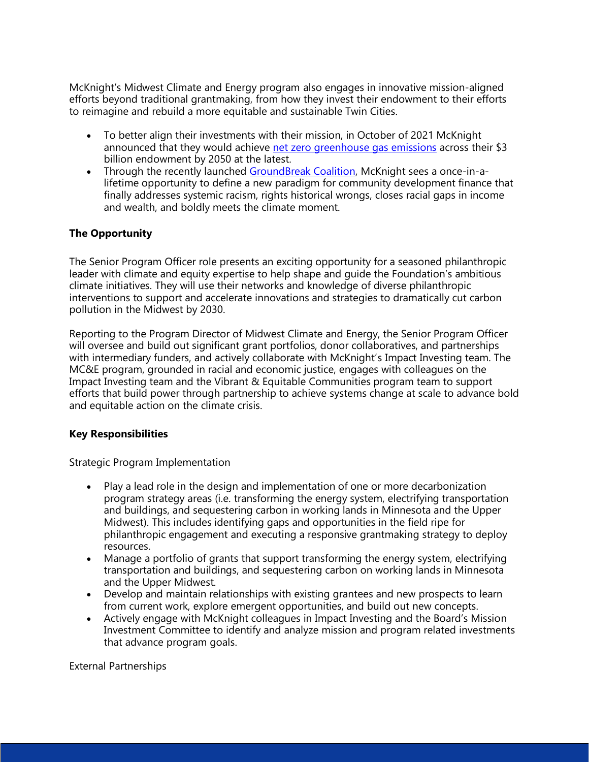McKnight's Midwest Climate and Energy program also engages in innovative mission-aligned efforts beyond traditional grantmaking, from how they invest their endowment to their efforts to reimagine and rebuild a more equitable and sustainable Twin Cities.

- To better align their investments with their mission, in October of 2021 McKnight announced that they would achieve [net zero greenhouse gas emissions](https://www.mcknight.org/news-ideas/mcknight-commits-netzero-endowment/) across their \$3 billion endowment by 2050 at the latest.
- Through the recently launched [GroundBreak Coalition,](https://groundbreakcoalition.org/) McKnight sees a once-in-alifetime opportunity to define a new paradigm for community development finance that finally addresses systemic racism, rights historical wrongs, closes racial gaps in income and wealth, and boldly meets the climate moment.

# **The Opportunity**

The Senior Program Officer role presents an exciting opportunity for a seasoned philanthropic leader with climate and equity expertise to help shape and guide the Foundation's ambitious climate initiatives. They will use their networks and knowledge of diverse philanthropic interventions to support and accelerate innovations and strategies to dramatically cut carbon pollution in the Midwest by 2030.

Reporting to the Program Director of Midwest Climate and Energy, the Senior Program Officer will oversee and build out significant grant portfolios, donor collaboratives, and partnerships with intermediary funders, and actively collaborate with McKnight's Impact Investing team. The MC&E program, grounded in racial and economic justice, engages with colleagues on the Impact Investing team and the Vibrant & Equitable Communities program team to support efforts that build power through partnership to achieve systems change at scale to advance bold and equitable action on the climate crisis.

### **Key Responsibilities**

Strategic Program Implementation

- Play a lead role in the design and implementation of one or more decarbonization program strategy areas (i.e. transforming the energy system, electrifying transportation and buildings, and sequestering carbon in working lands in Minnesota and the Upper Midwest). This includes identifying gaps and opportunities in the field ripe for philanthropic engagement and executing a responsive grantmaking strategy to deploy resources.
- Manage a portfolio of grants that support transforming the energy system, electrifying transportation and buildings, and sequestering carbon on working lands in Minnesota and the Upper Midwest.
- Develop and maintain relationships with existing grantees and new prospects to learn from current work, explore emergent opportunities, and build out new concepts.
- Actively engage with McKnight colleagues in Impact Investing and the Board's Mission Investment Committee to identify and analyze mission and program related investments that advance program goals.

External Partnerships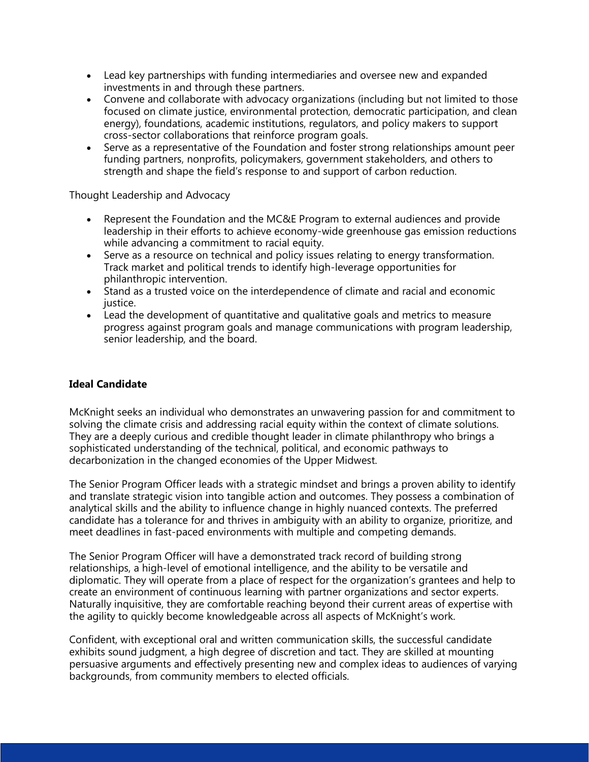- Lead key partnerships with funding intermediaries and oversee new and expanded investments in and through these partners.
- Convene and collaborate with advocacy organizations (including but not limited to those focused on climate justice, environmental protection, democratic participation, and clean energy), foundations, academic institutions, regulators, and policy makers to support cross-sector collaborations that reinforce program goals.
- Serve as a representative of the Foundation and foster strong relationships amount peer funding partners, nonprofits, policymakers, government stakeholders, and others to strength and shape the field's response to and support of carbon reduction.

Thought Leadership and Advocacy

- Represent the Foundation and the MC&E Program to external audiences and provide leadership in their efforts to achieve economy-wide greenhouse gas emission reductions while advancing a commitment to racial equity.
- Serve as a resource on technical and policy issues relating to energy transformation. Track market and political trends to identify high-leverage opportunities for philanthropic intervention.
- Stand as a trusted voice on the interdependence of climate and racial and economic justice.
- Lead the development of quantitative and qualitative goals and metrics to measure progress against program goals and manage communications with program leadership, senior leadership, and the board.

### **Ideal Candidate**

McKnight seeks an individual who demonstrates an unwavering passion for and commitment to solving the climate crisis and addressing racial equity within the context of climate solutions. They are a deeply curious and credible thought leader in climate philanthropy who brings a sophisticated understanding of the technical, political, and economic pathways to decarbonization in the changed economies of the Upper Midwest.

The Senior Program Officer leads with a strategic mindset and brings a proven ability to identify and translate strategic vision into tangible action and outcomes. They possess a combination of analytical skills and the ability to influence change in highly nuanced contexts. The preferred candidate has a tolerance for and thrives in ambiguity with an ability to organize, prioritize, and meet deadlines in fast-paced environments with multiple and competing demands.

The Senior Program Officer will have a demonstrated track record of building strong relationships, a high-level of emotional intelligence, and the ability to be versatile and diplomatic. They will operate from a place of respect for the organization's grantees and help to create an environment of continuous learning with partner organizations and sector experts. Naturally inquisitive, they are comfortable reaching beyond their current areas of expertise with the agility to quickly become knowledgeable across all aspects of McKnight's work.

Confident, with exceptional oral and written communication skills, the successful candidate exhibits sound judgment, a high degree of discretion and tact. They are skilled at mounting persuasive arguments and effectively presenting new and complex ideas to audiences of varying backgrounds, from community members to elected officials.